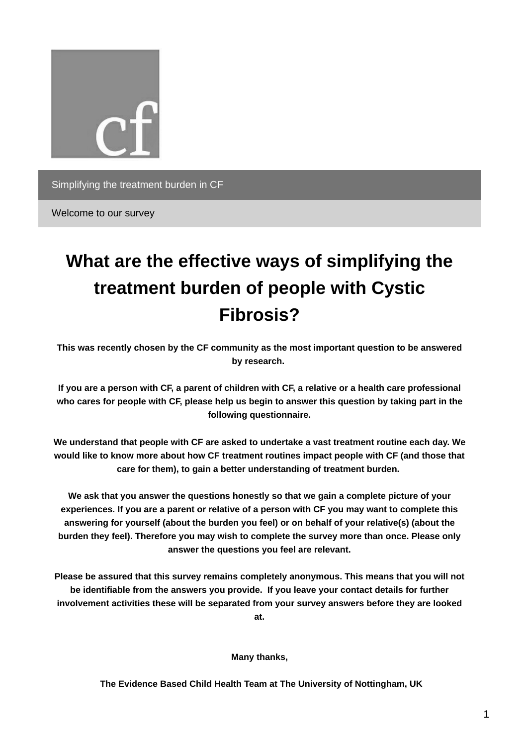

Welcome to our survey

# **What are the effective ways of simplifying the treatment burden of people with Cystic Fibrosis?**

**This was recently chosen by the CF community as the most important question to be answered by research.**

If you are a person with CF, a parent of children with CF, a relative or a health care professional who cares for people with CF, please help us begin to answer this question by taking part in the **following questionnaire.**

**We understand that people with CF are asked to undertake a vast treatment routine each day. We would like to know more about how CF treatment routines impact people with CF (and those that care for them), to gain a better understanding of treatment burden.**

**We ask that you answer the questions honestly so that we gain a complete picture of your** experiences. If you are a parent or relative of a person with CF you may want to complete this **answering for yourself (about the burden you feel) or on behalf of your relative(s) (about the burden they feel). Therefore you may wish to complete the survey more than once. Please only answer the questions you feel are relevant.**

**Please be assured that this survey remains completely anonymous. This means that you will not be identifiable from the answers you provide. If you leave your contact details for further involvement activities these will be separated from your survey answers before they are looked at.**

**Many thanks,**

**The Evidence Based Child Health Team at The University of Nottingham, UK**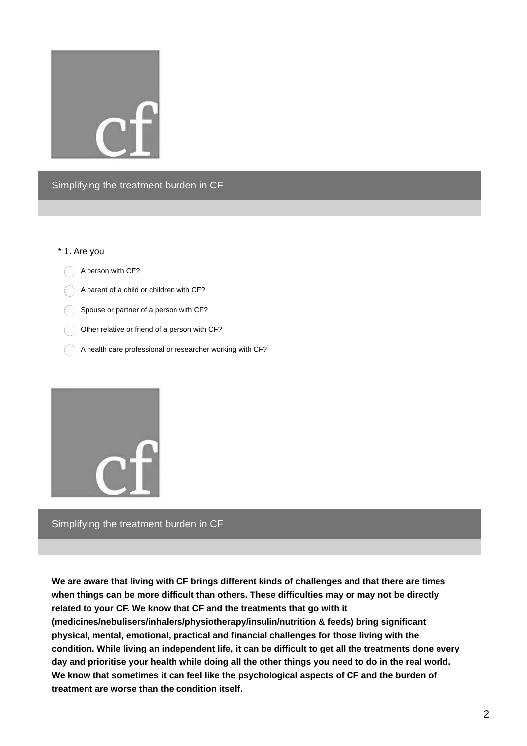

#### \* 1. Are you

A person with CF?

A parent of a child or children with CF?

Spouse or partner of a person with CF?

Other relative or friend of a person with CF?

 $\bigcap$  A health care professional or researcher working with CF?



Simplifying the treatment burden in CF

**We are aware that living with CF brings different kinds of challenges and that there are times when things can be more difficult than others. These difficulties may or may not be directly related to your CF. We know that CF and the treatments that go with it (medicines/nebulisers/inhalers/physiotherapy/insulin/nutrition & feeds) bring significant physical, mental, emotional, practical and financial challenges for those living with the condition. While living an independent life, it can be difficult to get all the treatments done every** day and prioritise your health while doing all the other things you need to do in the real world. **We know that sometimes it can feel like the psychological aspects of CF and the burden of treatment are worse than the condition itself.**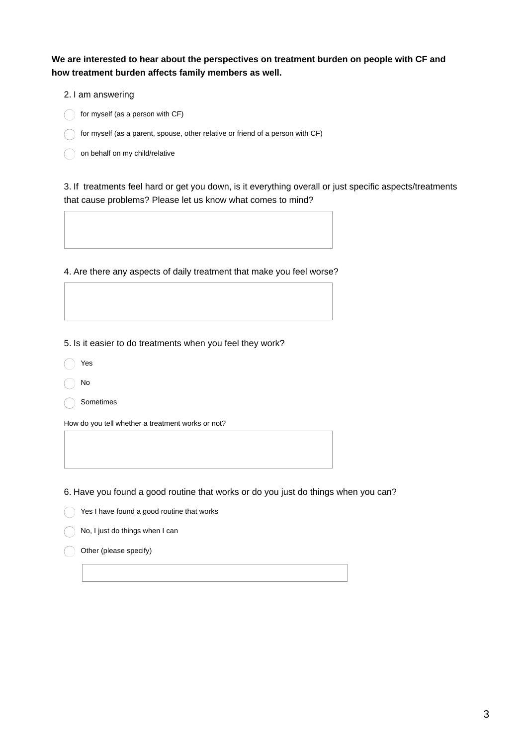**We are interested to hear about the perspectives on treatment burden on people with CF and how treatment burden affects family members as well.**

- 2. I am answering
- $\bigcap$  for myself (as a person with CF)
- for myself (as a parent, spouse, other relative or friend of a person with  $CF$ )
- on behalf on my child/relative

3. If treatments feel hard or get you down, is it everything overall or just specific aspects/treatments that cause problems? Please let us know what comes to mind?

4. Are there any aspects of daily treatment that make you feel worse?

5. Is it easier to do treatments when you feel they work?

- Yes
- No

Sometimes

How do you tell whether a treatment works or not?

6. Have you found a good routine that works or do you just do things when you can?

Yes I have found a good routine that works

No, I just do things when I can

Other (please specify)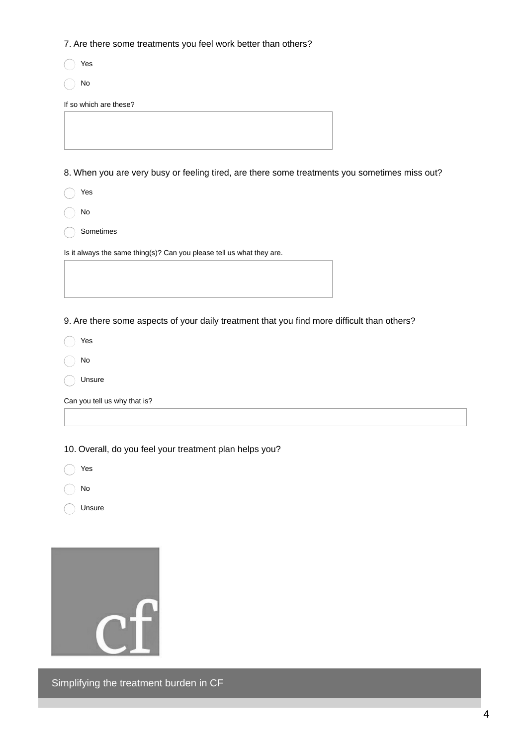7. Are there some treatments you feel work better than others?

Yes

No

If so which are these?

8. When you are very busy or feeling tired, are there some treatments you sometimes miss out?

Yes  $\bigcap$ 

No

Sometimes

Is it always the same thing(s)? Can you please tell us what they are.

9. Are there some aspects of your daily treatment that you find more difficult than others?

Yes  $($ 

No

Unsure

Can you tell us why that is?

10. Overall, do you feel your treatment plan helps you?

Yes  $\bigcirc$ 

No

Unsure



Simplifying the treatment burden in CF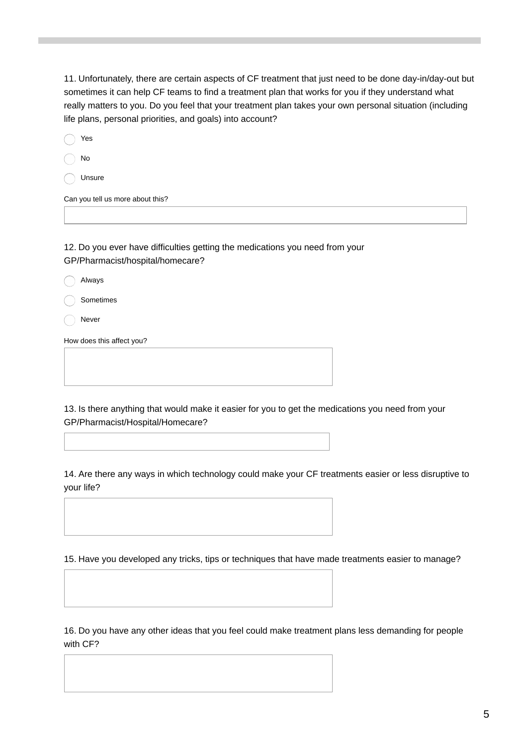11. Unfortunately, there are certain aspects of CF treatment that just need to be done day-in/day-out but sometimes it can help CF teams to find a treatment plan that works for you if they understand what really matters to you. Do you feel that your treatment plan takes your own personal situation (including life plans, personal priorities, and goals) into account?

| Yes                              |
|----------------------------------|
| No                               |
| Unsure                           |
| Can you tell us more about this? |
|                                  |
|                                  |

12. Do you ever have difficulties getting the medications you need from your GP/Pharmacist/hospital/homecare?

|  | Always |
|--|--------|
|--|--------|

Sometimes

Never

How does this affect you?

13. Is there anything that would make it easier for you to get the medications you need from your GP/Pharmacist/Hospital/Homecare?

14. Are there any ways in which technology could make your CF treatments easier or less disruptive to your life?

15. Have you developed any tricks, tips or techniques that have made treatments easier to manage?

16. Do you have any other ideas that you feel could make treatment plans less demanding for people with CF?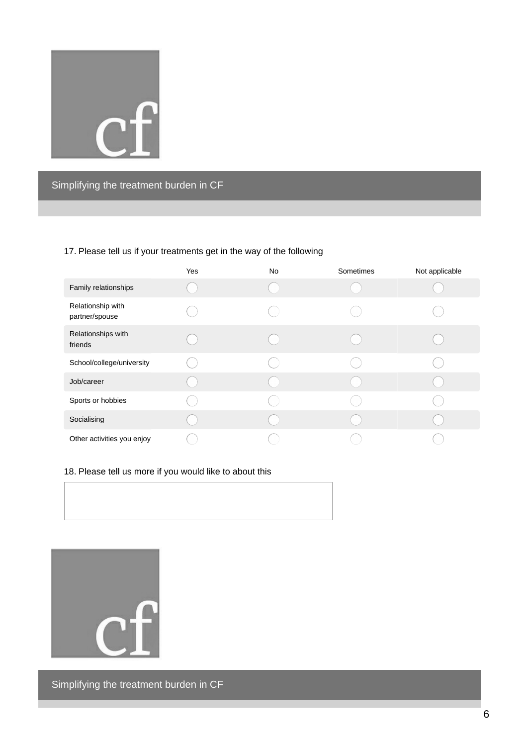

## 17. Please tell us if your treatments get in the way of the following

|                                     | Yes | No | Sometimes | Not applicable |
|-------------------------------------|-----|----|-----------|----------------|
| Family relationships                |     |    |           |                |
| Relationship with<br>partner/spouse |     |    |           |                |
| Relationships with<br>friends       |     |    |           |                |
| School/college/university           |     |    |           |                |
| Job/career                          |     |    |           |                |
| Sports or hobbies                   |     |    |           |                |
| Socialising                         |     |    |           |                |
| Other activities you enjoy          |     |    |           |                |

## 18. Please tell us more if you would like to about this





Simplifying the treatment burden in CF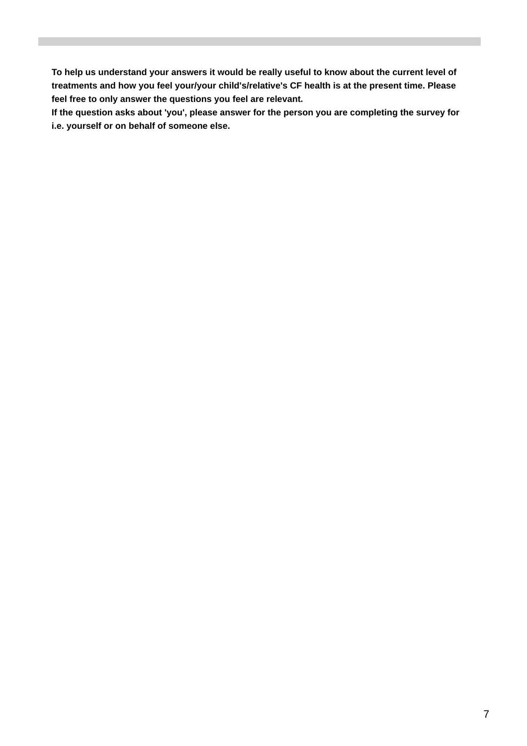**To help us understand your answers it would be really useful to know about the current level of treatments and how you feel your/your child's/relative's CF health is at the present time. Please feel free to only answer the questions you feel are relevant.**

**If the question asks about 'you', please answer for the person you are completing the survey for i.e. yourself or on behalf of someone else.**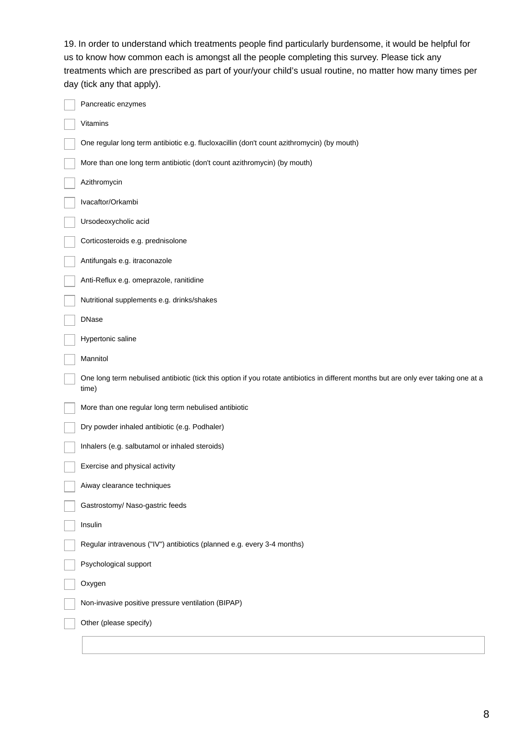19. In order to understand which treatments people find particularly burdensome, it would be helpful for us to know how common each is amongst all the people completing this survey. Please tick any treatments which are prescribed as part of your/your child's usual routine, no matter how many times per day (tick any that apply).

| Pancreatic enzymes                                                                                                                            |
|-----------------------------------------------------------------------------------------------------------------------------------------------|
| Vitamins                                                                                                                                      |
| One regular long term antibiotic e.g. flucloxacillin (don't count azithromycin) (by mouth)                                                    |
| More than one long term antibiotic (don't count azithromycin) (by mouth)                                                                      |
| Azithromycin                                                                                                                                  |
| Ivacaftor/Orkambi                                                                                                                             |
| Ursodeoxycholic acid                                                                                                                          |
| Corticosteroids e.g. prednisolone                                                                                                             |
| Antifungals e.g. itraconazole                                                                                                                 |
| Anti-Reflux e.g. omeprazole, ranitidine                                                                                                       |
| Nutritional supplements e.g. drinks/shakes                                                                                                    |
| <b>DNase</b>                                                                                                                                  |
| Hypertonic saline                                                                                                                             |
| Mannitol                                                                                                                                      |
| One long term nebulised antibiotic (tick this option if you rotate antibiotics in different months but are only ever taking one at a<br>time) |
| More than one regular long term nebulised antibiotic                                                                                          |
| Dry powder inhaled antibiotic (e.g. Podhaler)                                                                                                 |
| Inhalers (e.g. salbutamol or inhaled steroids)                                                                                                |
| Exercise and physical activity                                                                                                                |
| Aiway clearance techniques                                                                                                                    |
| Gastrostomy/ Naso-gastric feeds                                                                                                               |
| Insulin                                                                                                                                       |
| Regular intravenous ("IV") antibiotics (planned e.g. every 3-4 months)                                                                        |
| Psychological support                                                                                                                         |
| Oxygen                                                                                                                                        |
| Non-invasive positive pressure ventilation (BIPAP)                                                                                            |
| Other (please specify)                                                                                                                        |
|                                                                                                                                               |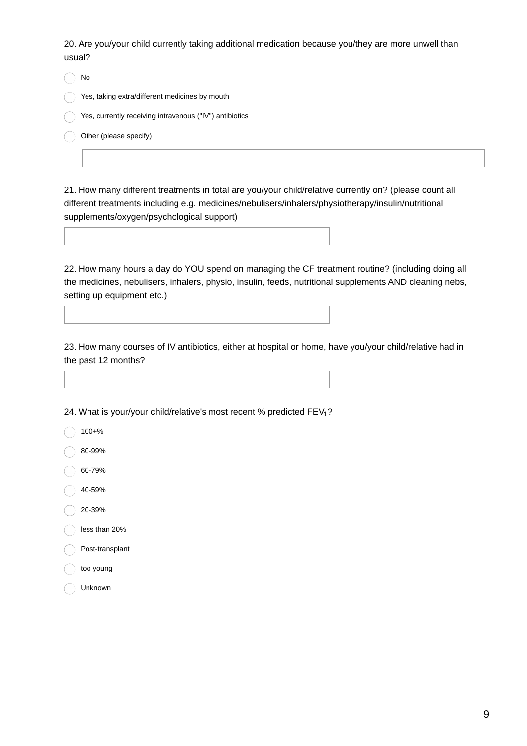20. Are you/your child currently taking additional medication because you/they are more unwell than usual?

| No                                                      |
|---------------------------------------------------------|
| Yes, taking extra/different medicines by mouth          |
| Yes, currently receiving intravenous ("IV") antibiotics |
| Other (please specify)                                  |
|                                                         |

21. How many different treatments in total are you/your child/relative currently on? (please count all different treatments including e.g. medicines/nebulisers/inhalers/physiotherapy/insulin/nutritional supplements/oxygen/psychological support)

22. How many hours a day do YOU spend on managing the CF treatment routine? (including doing all the medicines, nebulisers, inhalers, physio, insulin, feeds, nutritional supplements AND cleaning nebs, setting up equipment etc.)

23. How many courses of IV antibiotics, either at hospital or home, have you/your child/relative had in the past 12 months?

24. What is your/your child/relative's most recent % predicted FEV<sub>1</sub>?

100+%

80-99%

60-79%

40-59%

20-39%

less than 20%

Post-transplant

too young

Unknown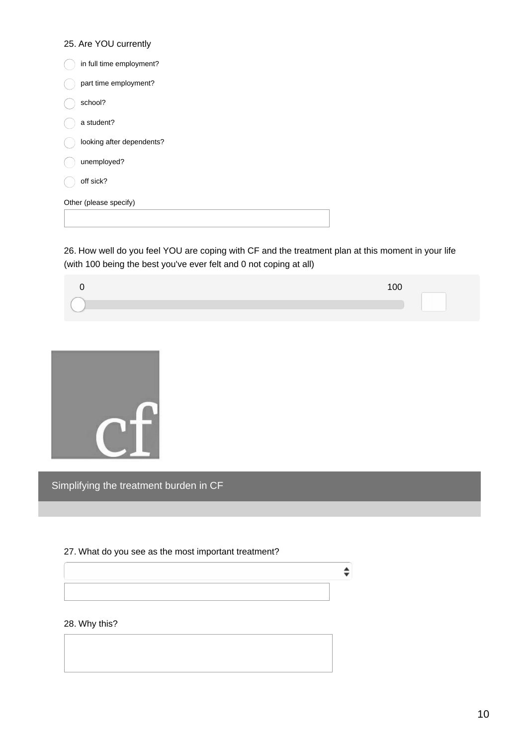#### 25. Are YOU currently

| in full time employment?  |
|---------------------------|
| part time employment?     |
| school?                   |
| a student?                |
| looking after dependents? |
| unemployed?               |
| off sick?                 |
| Other (please specify)    |
|                           |

26. How well do you feel YOU are coping with CF and the treatment plan at this moment in your life (with 100 being the best you've ever felt and 0 not coping at all)



 $\div$ 



Simplifying the treatment burden in CF

#### 27. What do you see as the most important treatment?

#### 28. Why this?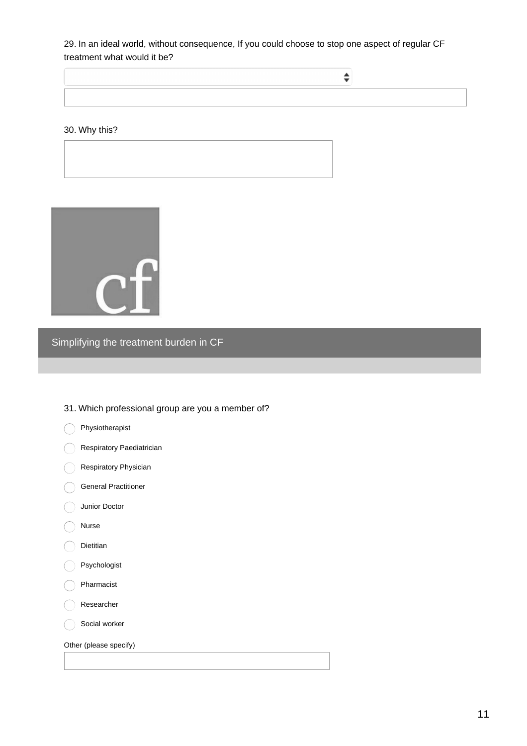29. In an ideal world, without consequence, If you could choose to stop one aspect of regular CF treatment what would it be?

 $\div$ 

#### 30. Why this?



# Simplifying the treatment burden in CF

#### 31. Which professional group are you a member of?

- Physiotherapist
- Respiratory Paediatrician
- Respiratory Physician
- General Practitioner
- Junior Doctor
- Nurse
- Dietitian
- Psychologist
- Pharmacist
- Researcher
- Social worker

Other (please specify)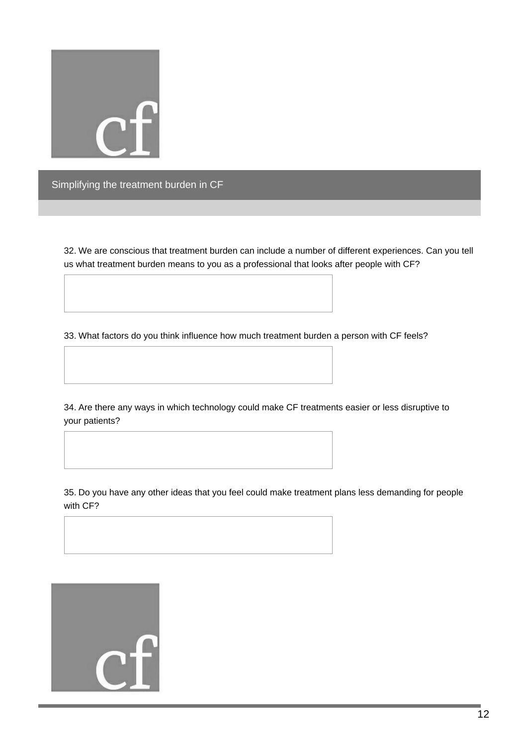

32. We are conscious that treatment burden can include a number of different experiences. Can you tell us what treatment burden means to you as a professional that looks after people with CF?

33. What factors do you think influence how much treatment burden a person with CF feels?

34. Are there any ways in which technology could make CF treatments easier or less disruptive to your patients?

35. Do you have any other ideas that you feel could make treatment plans less demanding for people with CF?

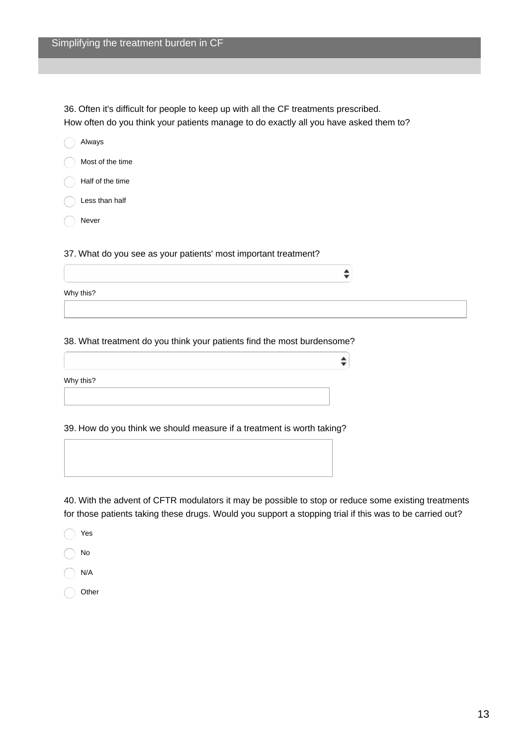36. Often it's difficult for people to keep up with all the CF treatments prescribed. How often do you think your patients manage to do exactly all you have asked them to?

| Always                                                          |  |
|-----------------------------------------------------------------|--|
| Most of the time                                                |  |
| Half of the time                                                |  |
| Less than half                                                  |  |
| Never                                                           |  |
|                                                                 |  |
| 37. What do you see as your patients' most important treatment? |  |
|                                                                 |  |
| Why this?                                                       |  |
|                                                                 |  |

#### 38. What treatment do you think your patients find the most burdensome?

Why this?

39. How do you think we should measure if a treatment is worth taking?

40. With the advent of CFTR modulators it may be possible to stop or reduce some existing treatments for those patients taking these drugs. Would you support a stopping trial if this was to be carried out?

 $\div$ 

Yes No

- N/A
- Other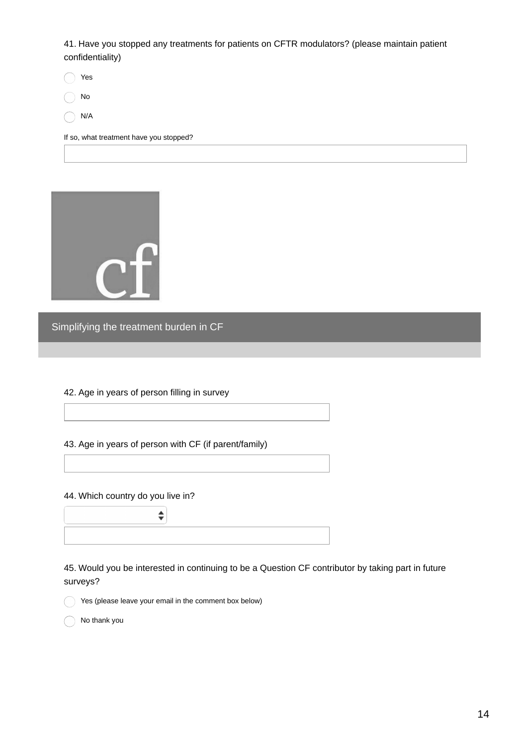41. Have you stopped any treatments for patients on CFTR modulators? (please maintain patient confidentiality)

Yes

No

N/A

If so, what treatment have you stopped?



Simplifying the treatment burden in CF

42. Age in years of person filling in survey

43. Age in years of person with CF (if parent/family)

44. Which country do you live in?



45. Would you be interested in continuing to be a Question CF contributor by taking part in future surveys?

Yes (please leave your email in the comment box below)

No thank you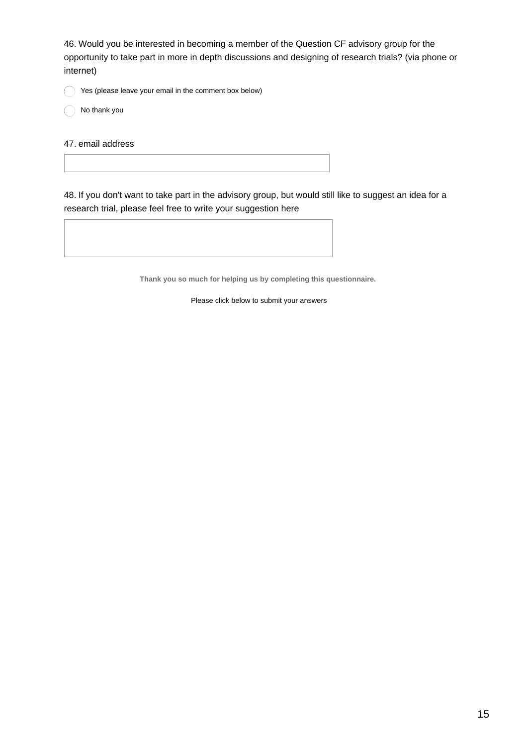46. Would you be interested in becoming a member of the Question CF advisory group for the opportunity to take part in more in depth discussions and designing of research trials? (via phone or internet)

Yes (please leave your email in the comment box below)

No thank you

47. email address

48. If you don't want to take part in the advisory group, but would still like to suggest an idea for a research trial, please feel free to write your suggestion here

**Thank you so much for helping us by completing this questionnaire.**

Please click below to submit your answers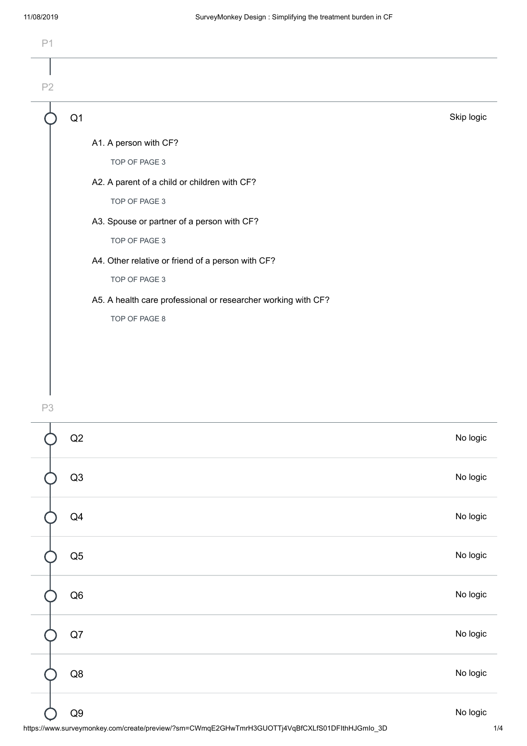| P <sub>1</sub> |                                                               |            |
|----------------|---------------------------------------------------------------|------------|
| P2             |                                                               |            |
|                | Q <sub>1</sub>                                                | Skip logic |
|                | A1. A person with CF?                                         |            |
|                | TOP OF PAGE 3                                                 |            |
|                | A2. A parent of a child or children with CF?                  |            |
|                | TOP OF PAGE 3                                                 |            |
|                | A3. Spouse or partner of a person with CF?                    |            |
|                | TOP OF PAGE 3                                                 |            |
|                | A4. Other relative or friend of a person with CF?             |            |
|                | TOP OF PAGE 3                                                 |            |
|                | A5. A health care professional or researcher working with CF? |            |
|                | TOP OF PAGE 8                                                 |            |
|                |                                                               |            |
|                |                                                               |            |

P3



https://www.surveymonkey.com/create/preview/?sm=CWmqE2GHwTmrH3GUOTTj4VqBfCXLfS01DFIthHJGmIo\_3D 1/4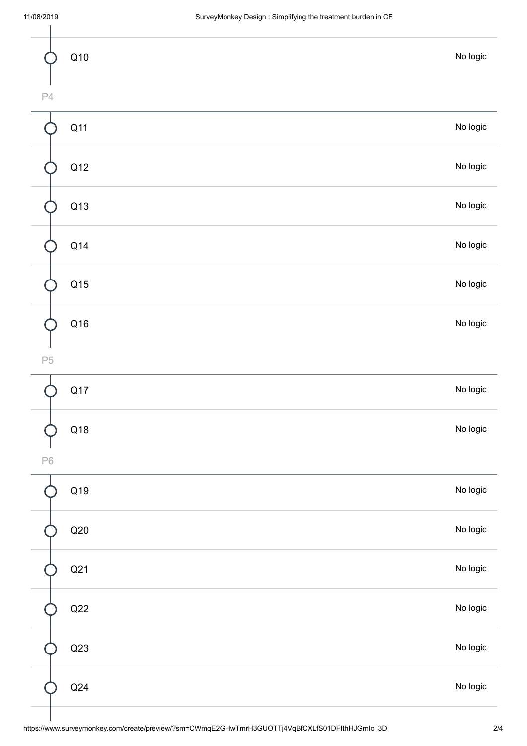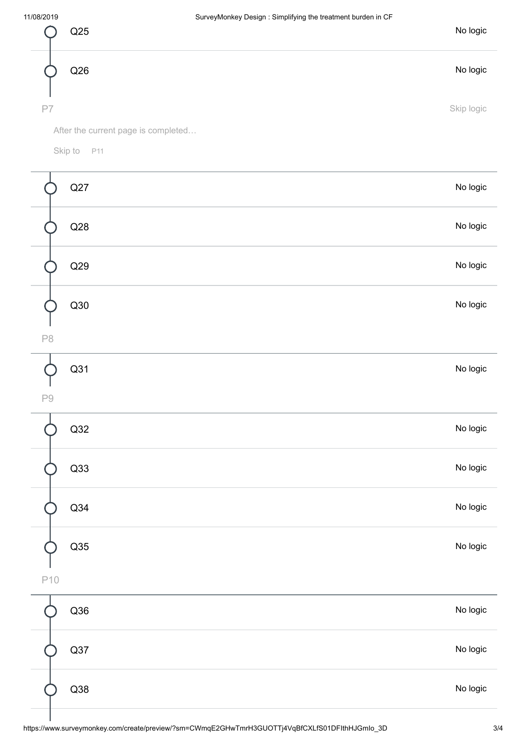

After the current page is completed…

Skip to P11

| Q27           | No logic |
|---------------|----------|
| Q28           | No logic |
| Q29           | No logic |
| Q30           | No logic |
| $\mathsf{P}8$ |          |
| Q31           | No logic |
| $\mathsf{P}9$ |          |
| Q32           | No logic |
| Q33           | No logic |
| Q34           | No logic |
| Q35           | No logic |
| L<br>P10      |          |
| Q36           | No logic |
| Q37           | No logic |
| Q38           | No logic |